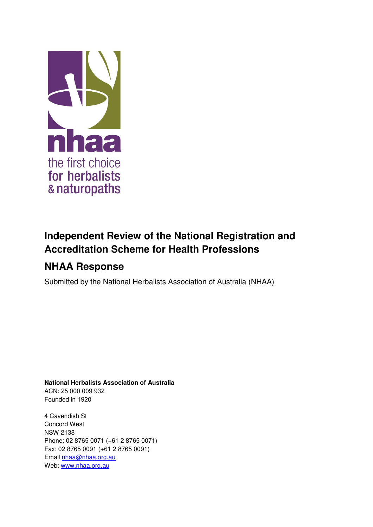

# **Independent Review of the National Registration and Accreditation Scheme for Health Professions**

## **NHAA Response**

Submitted by the National Herbalists Association of Australia (NHAA)

**National Herbalists Association of Australia**  ACN: 25 000 009 932 Founded in 1920

4 Cavendish St Concord West NSW 2138 Phone: 02 8765 0071 (+61 2 8765 0071) Fax: 02 8765 0091 (+61 2 8765 0091) Email [nhaa@nhaa.org.au](mailto:nhaa@nhaa.org.au) Web: [www.nhaa.org.au](http://www.nhaa.org.au/)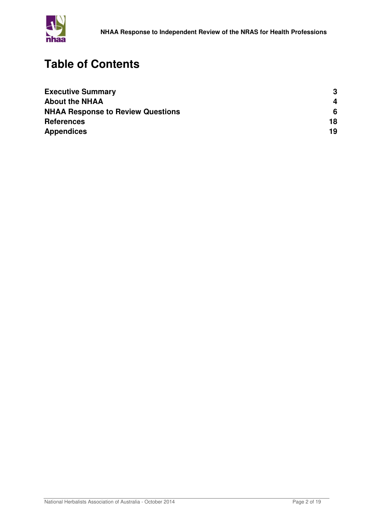

## **Table of Contents**

| <b>Executive Summary</b>                 | 3  |
|------------------------------------------|----|
| <b>About the NHAA</b>                    | 4  |
| <b>NHAA Response to Review Questions</b> | 6  |
| <b>References</b>                        | 18 |
| <b>Appendices</b>                        | 19 |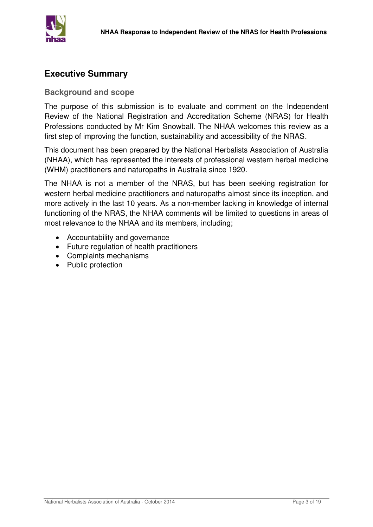

#### **Executive Summary**

#### **Background and scope**

The purpose of this submission is to evaluate and comment on the Independent Review of the National Registration and Accreditation Scheme (NRAS) for Health Professions conducted by Mr Kim Snowball. The NHAA welcomes this review as a first step of improving the function, sustainability and accessibility of the NRAS.

This document has been prepared by the National Herbalists Association of Australia (NHAA), which has represented the interests of professional western herbal medicine (WHM) practitioners and naturopaths in Australia since 1920.

The NHAA is not a member of the NRAS, but has been seeking registration for western herbal medicine practitioners and naturopaths almost since its inception, and more actively in the last 10 years. As a non-member lacking in knowledge of internal functioning of the NRAS, the NHAA comments will be limited to questions in areas of most relevance to the NHAA and its members, including;

- Accountability and governance
- Future regulation of health practitioners
- Complaints mechanisms
- Public protection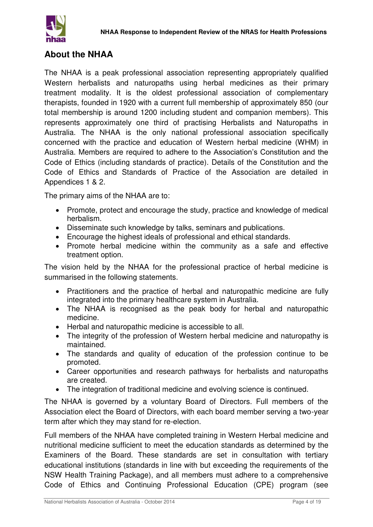## **About the NHAA**

The NHAA is a peak professional association representing appropriately qualified Western herbalists and naturopaths using herbal medicines as their primary treatment modality. It is the oldest professional association of complementary therapists, founded in 1920 with a current full membership of approximately 850 (our total membership is around 1200 including student and companion members). This represents approximately one third of practising Herbalists and Naturopaths in Australia. The NHAA is the only national professional association specifically concerned with the practice and education of Western herbal medicine (WHM) in Australia. Members are required to adhere to the Association's Constitution and the Code of Ethics (including standards of practice). Details of the Constitution and the Code of Ethics and Standards of Practice of the Association are detailed in Appendices 1 & 2.

The primary aims of the NHAA are to:

- Promote, protect and encourage the study, practice and knowledge of medical herbalism.
- Disseminate such knowledge by talks, seminars and publications.
- Encourage the highest ideals of professional and ethical standards.
- Promote herbal medicine within the community as a safe and effective treatment option.

The vision held by the NHAA for the professional practice of herbal medicine is summarised in the following statements.

- Practitioners and the practice of herbal and naturopathic medicine are fully integrated into the primary healthcare system in Australia.
- The NHAA is recognised as the peak body for herbal and naturopathic medicine.
- Herbal and naturopathic medicine is accessible to all.
- The integrity of the profession of Western herbal medicine and naturopathy is maintained.
- The standards and quality of education of the profession continue to be promoted.
- Career opportunities and research pathways for herbalists and naturopaths are created.
- The integration of traditional medicine and evolving science is continued.

The NHAA is governed by a voluntary Board of Directors. Full members of the Association elect the Board of Directors, with each board member serving a two-year term after which they may stand for re-election.

Full members of the NHAA have completed training in Western Herbal medicine and nutritional medicine sufficient to meet the education standards as determined by the Examiners of the Board. These standards are set in consultation with tertiary educational institutions (standards in line with but exceeding the requirements of the NSW Health Training Package), and all members must adhere to a comprehensive Code of Ethics and Continuing Professional Education (CPE) program (see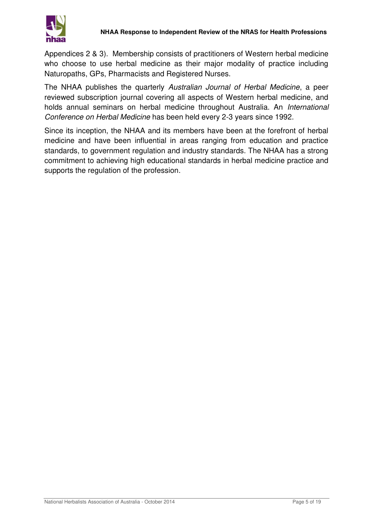

Appendices 2 & 3). Membership consists of practitioners of Western herbal medicine who choose to use herbal medicine as their major modality of practice including Naturopaths, GPs, Pharmacists and Registered Nurses.

The NHAA publishes the quarterly *Australian Journal of Herbal Medicine*, a peer reviewed subscription journal covering all aspects of Western herbal medicine, and holds annual seminars on herbal medicine throughout Australia. An *International Conference on Herbal Medicine* has been held every 2-3 years since 1992.

Since its inception, the NHAA and its members have been at the forefront of herbal medicine and have been influential in areas ranging from education and practice standards, to government regulation and industry standards. The NHAA has a strong commitment to achieving high educational standards in herbal medicine practice and supports the regulation of the profession.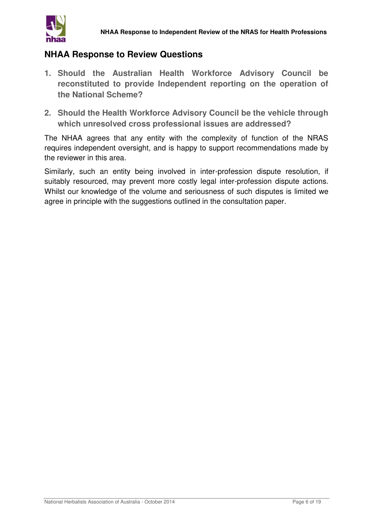

#### **NHAA Response to Review Questions**

- **1. Should the Australian Health Workforce Advisory Council be reconstituted to provide Independent reporting on the operation of the National Scheme?**
- **2. Should the Health Workforce Advisory Council be the vehicle through which unresolved cross professional issues are addressed?**

The NHAA agrees that any entity with the complexity of function of the NRAS requires independent oversight, and is happy to support recommendations made by the reviewer in this area.

Similarly, such an entity being involved in inter-profession dispute resolution, if suitably resourced, may prevent more costly legal inter-profession dispute actions. Whilst our knowledge of the volume and seriousness of such disputes is limited we agree in principle with the suggestions outlined in the consultation paper.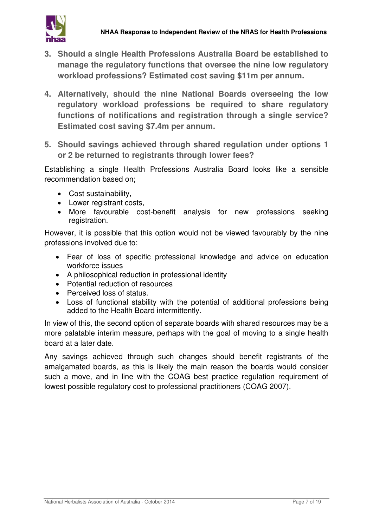

- **3. Should a single Health Professions Australia Board be established to manage the regulatory functions that oversee the nine low regulatory workload professions? Estimated cost saving \$11m per annum.**
- **4. Alternatively, should the nine National Boards overseeing the low regulatory workload professions be required to share regulatory functions of notifications and registration through a single service? Estimated cost saving \$7.4m per annum.**
- **5. Should savings achieved through shared regulation under options 1 or 2 be returned to registrants through lower fees?**

Establishing a single Health Professions Australia Board looks like a sensible recommendation based on;

- Cost sustainability,
- Lower registrant costs,
- More favourable cost-benefit analysis for new professions seeking registration.

However, it is possible that this option would not be viewed favourably by the nine professions involved due to;

- Fear of loss of specific professional knowledge and advice on education workforce issues
- A philosophical reduction in professional identity
- Potential reduction of resources
- Perceived loss of status.
- Loss of functional stability with the potential of additional professions being added to the Health Board intermittently.

In view of this, the second option of separate boards with shared resources may be a more palatable interim measure, perhaps with the goal of moving to a single health board at a later date.

Any savings achieved through such changes should benefit registrants of the amalgamated boards, as this is likely the main reason the boards would consider such a move, and in line with the COAG best practice regulation requirement of lowest possible regulatory cost to professional practitioners (COAG 2007).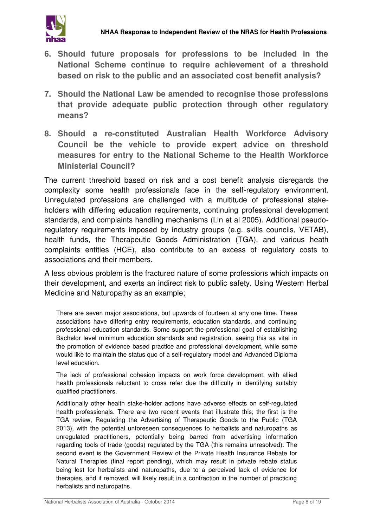

- **6. Should future proposals for professions to be included in the National Scheme continue to require achievement of a threshold based on risk to the public and an associated cost benefit analysis?**
- **7. Should the National Law be amended to recognise those professions that provide adequate public protection through other regulatory means?**
- **8. Should a re-constituted Australian Health Workforce Advisory Council be the vehicle to provide expert advice on threshold measures for entry to the National Scheme to the Health Workforce Ministerial Council?**

The current threshold based on risk and a cost benefit analysis disregards the complexity some health professionals face in the self-regulatory environment. Unregulated professions are challenged with a multitude of professional stakeholders with differing education requirements, continuing professional development standards, and complaints handling mechanisms (Lin et al 2005). Additional pseudoregulatory requirements imposed by industry groups (e.g. skills councils, VETAB), health funds, the Therapeutic Goods Administration (TGA), and various heath complaints entities (HCE), also contribute to an excess of regulatory costs to associations and their members.

A less obvious problem is the fractured nature of some professions which impacts on their development, and exerts an indirect risk to public safety. Using Western Herbal Medicine and Naturopathy as an example;

There are seven major associations, but upwards of fourteen at any one time. These associations have differing entry requirements, education standards, and continuing professional education standards. Some support the professional goal of establishing Bachelor level minimum education standards and registration, seeing this as vital in the promotion of evidence based practice and professional development, while some would like to maintain the status quo of a self-regulatory model and Advanced Diploma level education.

The lack of professional cohesion impacts on work force development, with allied health professionals reluctant to cross refer due the difficulty in identifying suitably qualified practitioners.

Additionally other health stake-holder actions have adverse effects on self-regulated health professionals. There are two recent events that illustrate this, the first is the TGA review, Regulating the Advertising of Therapeutic Goods to the Public (TGA 2013), with the potential unforeseen consequences to herbalists and naturopaths as unregulated practitioners, potentially being barred from advertising information regarding tools of trade (goods) regulated by the TGA (this remains unresolved). The second event is the Government Review of the Private Health Insurance Rebate for Natural Therapies (final report pending), which may result in private rebate status being lost for herbalists and naturopaths, due to a perceived lack of evidence for therapies, and if removed, will likely result in a contraction in the number of practicing herbalists and naturopaths.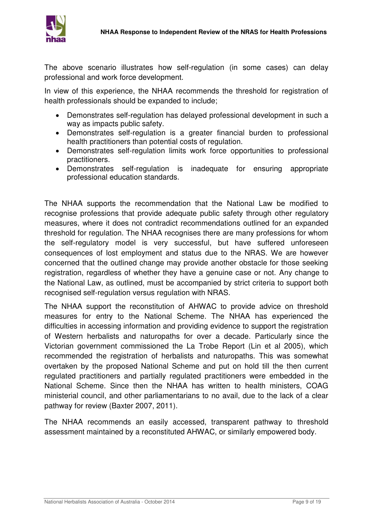

The above scenario illustrates how self-regulation (in some cases) can delay professional and work force development.

In view of this experience, the NHAA recommends the threshold for registration of health professionals should be expanded to include;

- Demonstrates self-regulation has delayed professional development in such a way as impacts public safety.
- Demonstrates self-regulation is a greater financial burden to professional health practitioners than potential costs of regulation.
- Demonstrates self-regulation limits work force opportunities to professional practitioners.
- Demonstrates self-regulation is inadequate for ensuring appropriate professional education standards.

The NHAA supports the recommendation that the National Law be modified to recognise professions that provide adequate public safety through other regulatory measures, where it does not contradict recommendations outlined for an expanded threshold for regulation. The NHAA recognises there are many professions for whom the self-regulatory model is very successful, but have suffered unforeseen consequences of lost employment and status due to the NRAS. We are however concerned that the outlined change may provide another obstacle for those seeking registration, regardless of whether they have a genuine case or not. Any change to the National Law, as outlined, must be accompanied by strict criteria to support both recognised self-regulation versus regulation with NRAS.

The NHAA support the reconstitution of AHWAC to provide advice on threshold measures for entry to the National Scheme. The NHAA has experienced the difficulties in accessing information and providing evidence to support the registration of Western herbalists and naturopaths for over a decade. Particularly since the Victorian government commissioned the La Trobe Report (Lin et al 2005), which recommended the registration of herbalists and naturopaths. This was somewhat overtaken by the proposed National Scheme and put on hold till the then current regulated practitioners and partially regulated practitioners were embedded in the National Scheme. Since then the NHAA has written to health ministers, COAG ministerial council, and other parliamentarians to no avail, due to the lack of a clear pathway for review (Baxter 2007, 2011).

The NHAA recommends an easily accessed, transparent pathway to threshold assessment maintained by a reconstituted AHWAC, or similarly empowered body.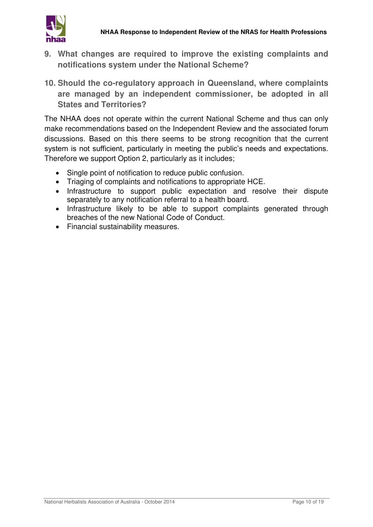

- **9. What changes are required to improve the existing complaints and notifications system under the National Scheme?**
- **10. Should the co-regulatory approach in Queensland, where complaints are managed by an independent commissioner, be adopted in all States and Territories?**

The NHAA does not operate within the current National Scheme and thus can only make recommendations based on the Independent Review and the associated forum discussions. Based on this there seems to be strong recognition that the current system is not sufficient, particularly in meeting the public's needs and expectations. Therefore we support Option 2, particularly as it includes;

- Single point of notification to reduce public confusion.
- Triaging of complaints and notifications to appropriate HCE.
- Infrastructure to support public expectation and resolve their dispute separately to any notification referral to a health board.
- Infrastructure likely to be able to support complaints generated through breaches of the new National Code of Conduct.
- Financial sustainability measures.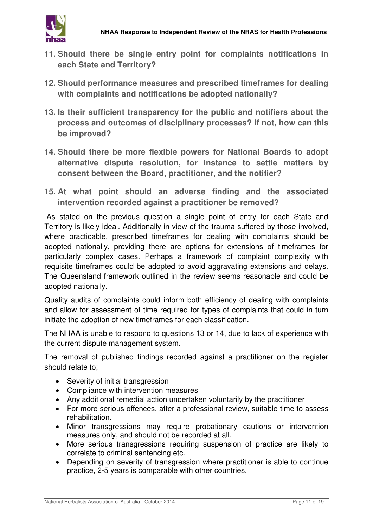

- **11. Should there be single entry point for complaints notifications in each State and Territory?**
- **12. Should performance measures and prescribed timeframes for dealing with complaints and notifications be adopted nationally?**
- **13. Is their sufficient transparency for the public and notifiers about the process and outcomes of disciplinary processes? If not, how can this be improved?**
- **14. Should there be more flexible powers for National Boards to adopt alternative dispute resolution, for instance to settle matters by consent between the Board, practitioner, and the notifier?**
- **15. At what point should an adverse finding and the associated intervention recorded against a practitioner be removed?**

 As stated on the previous question a single point of entry for each State and Territory is likely ideal. Additionally in view of the trauma suffered by those involved, where practicable, prescribed timeframes for dealing with complaints should be adopted nationally, providing there are options for extensions of timeframes for particularly complex cases. Perhaps a framework of complaint complexity with requisite timeframes could be adopted to avoid aggravating extensions and delays. The Queensland framework outlined in the review seems reasonable and could be adopted nationally.

Quality audits of complaints could inform both efficiency of dealing with complaints and allow for assessment of time required for types of complaints that could in turn initiate the adoption of new timeframes for each classification.

The NHAA is unable to respond to questions 13 or 14, due to lack of experience with the current dispute management system.

The removal of published findings recorded against a practitioner on the register should relate to;

- Severity of initial transgression
- Compliance with intervention measures
- Any additional remedial action undertaken voluntarily by the practitioner
- For more serious offences, after a professional review, suitable time to assess rehabilitation.
- Minor transgressions may require probationary cautions or intervention measures only, and should not be recorded at all.
- More serious transgressions requiring suspension of practice are likely to correlate to criminal sentencing etc.
- Depending on severity of transgression where practitioner is able to continue practice, 2-5 years is comparable with other countries.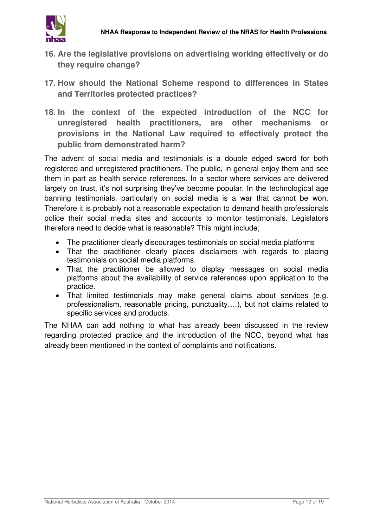

- **16. Are the legislative provisions on advertising working effectively or do they require change?**
- **17. How should the National Scheme respond to differences in States and Territories protected practices?**
- **18. In the context of the expected introduction of the NCC for unregistered health practitioners, are other mechanisms or provisions in the National Law required to effectively protect the public from demonstrated harm?**

The advent of social media and testimonials is a double edged sword for both registered and unregistered practitioners. The public, in general enjoy them and see them in part as health service references. In a sector where services are delivered largely on trust, it's not surprising they've become popular. In the technological age banning testimonials, particularly on social media is a war that cannot be won. Therefore it is probably not a reasonable expectation to demand health professionals police their social media sites and accounts to monitor testimonials. Legislators therefore need to decide what is reasonable? This might include;

- The practitioner clearly discourages testimonials on social media platforms
- That the practitioner clearly places disclaimers with regards to placing testimonials on social media platforms.
- That the practitioner be allowed to display messages on social media platforms about the availability of service references upon application to the practice.
- That limited testimonials may make general claims about services (e.g. professionalism, reasonable pricing, punctuality….), but not claims related to specific services and products.

The NHAA can add nothing to what has already been discussed in the review regarding protected practice and the introduction of the NCC, beyond what has already been mentioned in the context of complaints and notifications.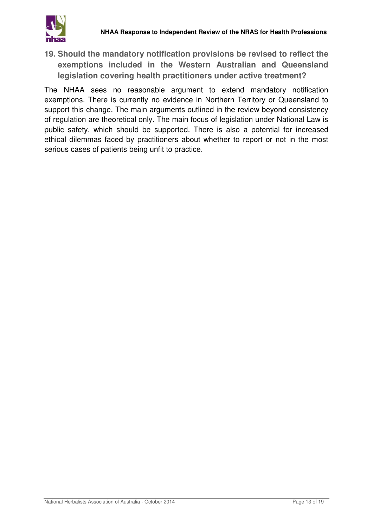**19. Should the mandatory notification provisions be revised to reflect the exemptions included in the Western Australian and Queensland legislation covering health practitioners under active treatment?**

The NHAA sees no reasonable argument to extend mandatory notification exemptions. There is currently no evidence in Northern Territory or Queensland to support this change. The main arguments outlined in the review beyond consistency of regulation are theoretical only. The main focus of legislation under National Law is public safety, which should be supported. There is also a potential for increased ethical dilemmas faced by practitioners about whether to report or not in the most serious cases of patients being unfit to practice.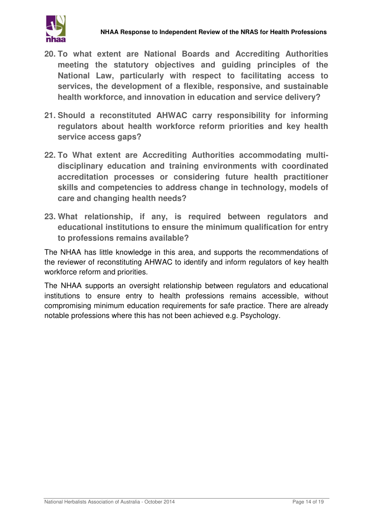- **20. To what extent are National Boards and Accrediting Authorities meeting the statutory objectives and guiding principles of the National Law, particularly with respect to facilitating access to services, the development of a flexible, responsive, and sustainable health workforce, and innovation in education and service delivery?**
- **21. Should a reconstituted AHWAC carry responsibility for informing regulators about health workforce reform priorities and key health service access gaps?**
- **22. To What extent are Accrediting Authorities accommodating multidisciplinary education and training environments with coordinated accreditation processes or considering future health practitioner skills and competencies to address change in technology, models of care and changing health needs?**
- **23. What relationship, if any, is required between regulators and educational institutions to ensure the minimum qualification for entry to professions remains available?**

The NHAA has little knowledge in this area, and supports the recommendations of the reviewer of reconstituting AHWAC to identify and inform regulators of key health workforce reform and priorities.

The NHAA supports an oversight relationship between regulators and educational institutions to ensure entry to health professions remains accessible, without compromising minimum education requirements for safe practice. There are already notable professions where this has not been achieved e.g. Psychology.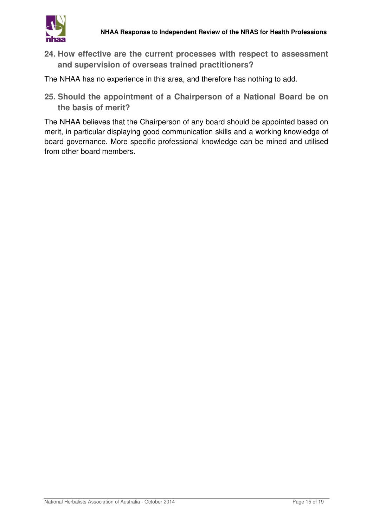

- **24. How effective are the current processes with respect to assessment and supervision of overseas trained practitioners?**
- The NHAA has no experience in this area, and therefore has nothing to add.
- **25. Should the appointment of a Chairperson of a National Board be on the basis of merit?**

The NHAA believes that the Chairperson of any board should be appointed based on merit, in particular displaying good communication skills and a working knowledge of board governance. More specific professional knowledge can be mined and utilised from other board members.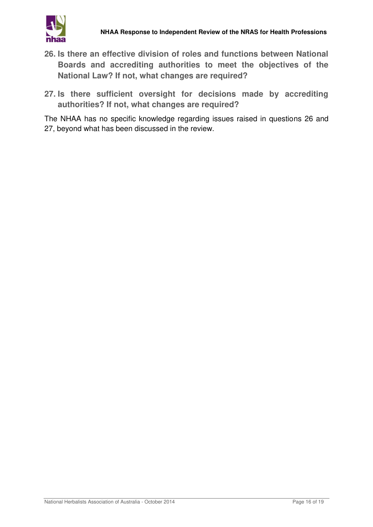

- **26. Is there an effective division of roles and functions between National Boards and accrediting authorities to meet the objectives of the National Law? If not, what changes are required?**
- **27. Is there sufficient oversight for decisions made by accrediting authorities? If not, what changes are required?**

The NHAA has no specific knowledge regarding issues raised in questions 26 and 27, beyond what has been discussed in the review.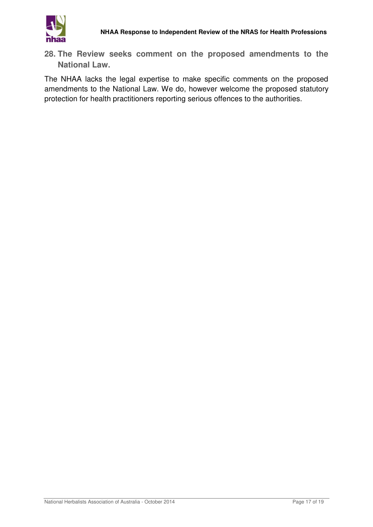

**28. The Review seeks comment on the proposed amendments to the National Law.**

The NHAA lacks the legal expertise to make specific comments on the proposed amendments to the National Law. We do, however welcome the proposed statutory protection for health practitioners reporting serious offences to the authorities.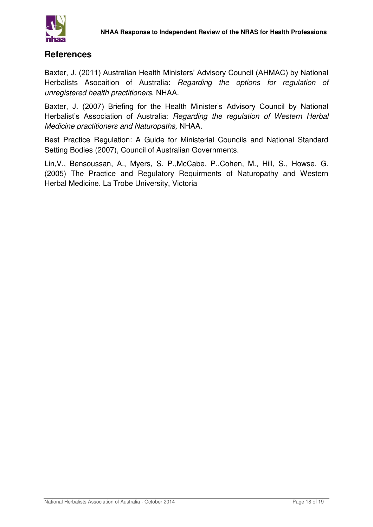

#### **References**

Baxter, J. (2011) Australian Health Ministers' Advisory Council (AHMAC) by National Herbalists Asocaition of Australia: *Regarding the options for regulation of unregistered health practitioners*, NHAA.

Baxter, J. (2007) Briefing for the Health Minister's Advisory Council by National Herbalist's Association of Australia: *Regarding the regulation of Western Herbal Medicine practitioners and Naturopaths,* NHAA.

Best Practice Regulation: A Guide for Ministerial Councils and National Standard Setting Bodies (2007), Council of Australian Governments.

Lin,V., Bensoussan, A., Myers, S. P.,McCabe, P.,Cohen, M., Hill, S., Howse, G. (2005) The Practice and Regulatory Requirments of Naturopathy and Western Herbal Medicine. La Trobe University, Victoria